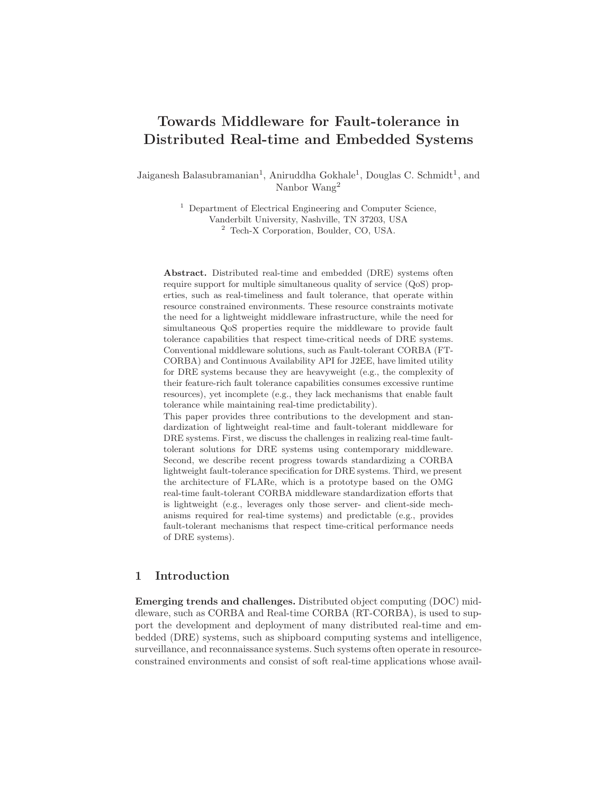# Towards Middleware for Fault-tolerance in Distributed Real-time and Embedded Systems

Jaiganesh Balasubramanian<sup>1</sup>, Aniruddha Gokhale<sup>1</sup>, Douglas C. Schmidt<sup>1</sup>, and Nanbor Wang<sup>2</sup>

> <sup>1</sup> Department of Electrical Engineering and Computer Science, Vanderbilt University, Nashville, TN 37203, USA <sup>2</sup> Tech-X Corporation, Boulder, CO, USA.

Abstract. Distributed real-time and embedded (DRE) systems often require support for multiple simultaneous quality of service (QoS) properties, such as real-timeliness and fault tolerance, that operate within resource constrained environments. These resource constraints motivate the need for a lightweight middleware infrastructure, while the need for simultaneous QoS properties require the middleware to provide fault tolerance capabilities that respect time-critical needs of DRE systems. Conventional middleware solutions, such as Fault-tolerant CORBA (FT-CORBA) and Continuous Availability API for J2EE, have limited utility for DRE systems because they are heavyweight (e.g., the complexity of their feature-rich fault tolerance capabilities consumes excessive runtime resources), yet incomplete (e.g., they lack mechanisms that enable fault tolerance while maintaining real-time predictability). This paper provides three contributions to the development and standardization of lightweight real-time and fault-tolerant middleware for DRE systems. First, we discuss the challenges in realizing real-time faulttolerant solutions for DRE systems using contemporary middleware. Second, we describe recent progress towards standardizing a CORBA lightweight fault-tolerance specification for DRE systems. Third, we present the architecture of FLARe, which is a prototype based on the OMG real-time fault-tolerant CORBA middleware standardization efforts that is lightweight (e.g., leverages only those server- and client-side mech-

anisms required for real-time systems) and predictable (e.g., provides fault-tolerant mechanisms that respect time-critical performance needs of DRE systems).

## 1 Introduction

Emerging trends and challenges. Distributed object computing (DOC) middleware, such as CORBA and Real-time CORBA (RT-CORBA), is used to support the development and deployment of many distributed real-time and embedded (DRE) systems, such as shipboard computing systems and intelligence, surveillance, and reconnaissance systems. Such systems often operate in resourceconstrained environments and consist of soft real-time applications whose avail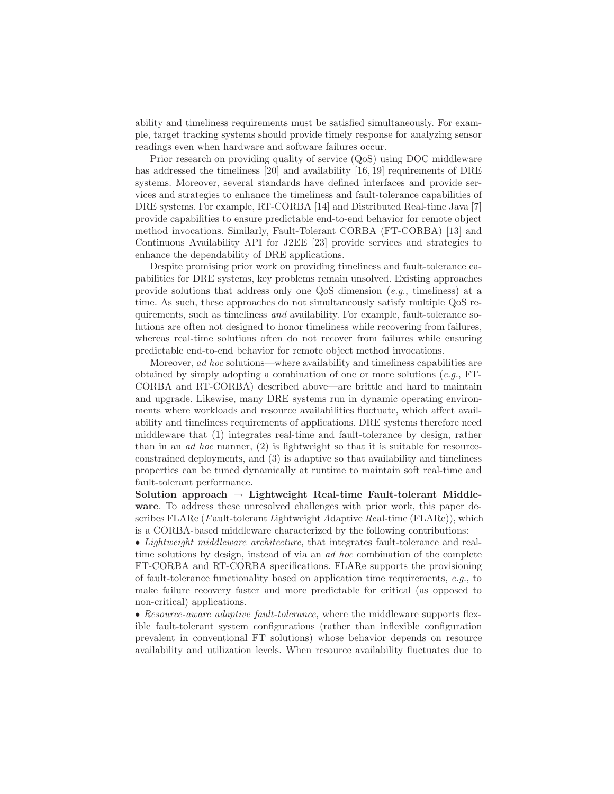ability and timeliness requirements must be satisfied simultaneously. For example, target tracking systems should provide timely response for analyzing sensor readings even when hardware and software failures occur.

Prior research on providing quality of service (QoS) using DOC middleware has addressed the timeliness [20] and availability [16, 19] requirements of DRE systems. Moreover, several standards have defined interfaces and provide services and strategies to enhance the timeliness and fault-tolerance capabilities of DRE systems. For example, RT-CORBA [14] and Distributed Real-time Java [7] provide capabilities to ensure predictable end-to-end behavior for remote object method invocations. Similarly, Fault-Tolerant CORBA (FT-CORBA) [13] and Continuous Availability API for J2EE [23] provide services and strategies to enhance the dependability of DRE applications.

Despite promising prior work on providing timeliness and fault-tolerance capabilities for DRE systems, key problems remain unsolved. Existing approaches provide solutions that address only one  $Q_0S$  dimension (*e.g.*, timeliness) at a time. As such, these approaches do not simultaneously satisfy multiple QoS requirements, such as timeliness and availability. For example, fault-tolerance solutions are often not designed to honor timeliness while recovering from failures, whereas real-time solutions often do not recover from failures while ensuring predictable end-to-end behavior for remote object method invocations.

Moreover, ad hoc solutions—where availability and timeliness capabilities are obtained by simply adopting a combination of one or more solutions  $(e.g., FT-)$ CORBA and RT-CORBA) described above—are brittle and hard to maintain and upgrade. Likewise, many DRE systems run in dynamic operating environments where workloads and resource availabilities fluctuate, which affect availability and timeliness requirements of applications. DRE systems therefore need middleware that (1) integrates real-time and fault-tolerance by design, rather than in an  $ad$  hoc manner,  $(2)$  is lightweight so that it is suitable for resourceconstrained deployments, and (3) is adaptive so that availability and timeliness properties can be tuned dynamically at runtime to maintain soft real-time and fault-tolerant performance.

Solution approach  $\rightarrow$  Lightweight Real-time Fault-tolerant Middleware. To address these unresolved challenges with prior work, this paper describes FLARe (Fault-tolerant Lightweight Adaptive Real-time (FLARe)), which is a CORBA-based middleware characterized by the following contributions:

• Lightweight middleware architecture, that integrates fault-tolerance and realtime solutions by design, instead of via an *ad hoc* combination of the complete FT-CORBA and RT-CORBA specifications. FLARe supports the provisioning of fault-tolerance functionality based on application time requirements, e.g., to make failure recovery faster and more predictable for critical (as opposed to non-critical) applications.

• Resource-aware adaptive fault-tolerance, where the middleware supports flexible fault-tolerant system configurations (rather than inflexible configuration prevalent in conventional FT solutions) whose behavior depends on resource availability and utilization levels. When resource availability fluctuates due to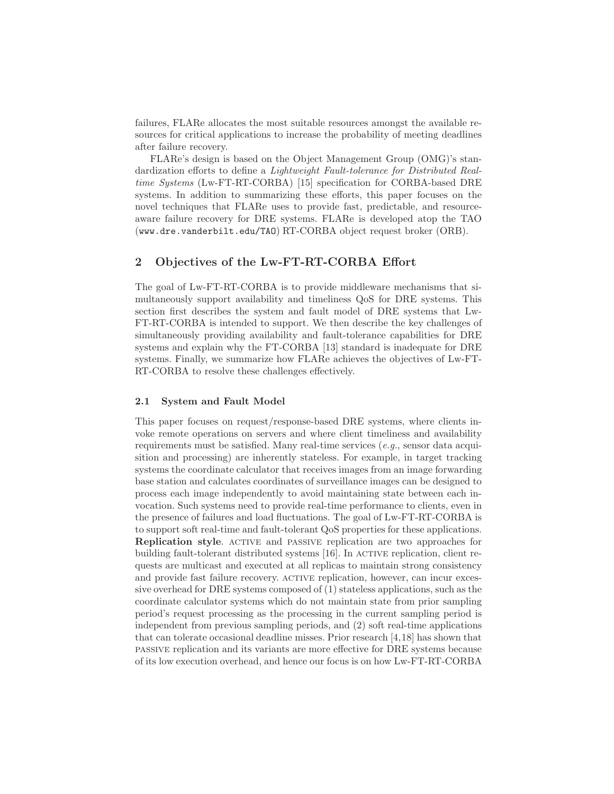failures, FLARe allocates the most suitable resources amongst the available resources for critical applications to increase the probability of meeting deadlines after failure recovery.

FLARe's design is based on the Object Management Group (OMG)'s standardization efforts to define a Lightweight Fault-tolerance for Distributed Realtime Systems (Lw-FT-RT-CORBA) [15] specification for CORBA-based DRE systems. In addition to summarizing these efforts, this paper focuses on the novel techniques that FLARe uses to provide fast, predictable, and resourceaware failure recovery for DRE systems. FLARe is developed atop the TAO (www.dre.vanderbilt.edu/TAO) RT-CORBA object request broker (ORB).

### 2 Objectives of the Lw-FT-RT-CORBA Effort

The goal of Lw-FT-RT-CORBA is to provide middleware mechanisms that simultaneously support availability and timeliness QoS for DRE systems. This section first describes the system and fault model of DRE systems that Lw-FT-RT-CORBA is intended to support. We then describe the key challenges of simultaneously providing availability and fault-tolerance capabilities for DRE systems and explain why the FT-CORBA [13] standard is inadequate for DRE systems. Finally, we summarize how FLARe achieves the objectives of Lw-FT-RT-CORBA to resolve these challenges effectively.

#### 2.1 System and Fault Model

This paper focuses on request/response-based DRE systems, where clients invoke remote operations on servers and where client timeliness and availability requirements must be satisfied. Many real-time services  $(e.g.,\text{ sensor data acqui-})$ sition and processing) are inherently stateless. For example, in target tracking systems the coordinate calculator that receives images from an image forwarding base station and calculates coordinates of surveillance images can be designed to process each image independently to avoid maintaining state between each invocation. Such systems need to provide real-time performance to clients, even in the presence of failures and load fluctuations. The goal of Lw-FT-RT-CORBA is to support soft real-time and fault-tolerant QoS properties for these applications. Replication style. ACTIVE and PASSIVE replication are two approaches for building fault-tolerant distributed systems [16]. In active replication, client requests are multicast and executed at all replicas to maintain strong consistency and provide fast failure recovery. ACTIVE replication, however, can incur excessive overhead for DRE systems composed of (1) stateless applications, such as the coordinate calculator systems which do not maintain state from prior sampling period's request processing as the processing in the current sampling period is independent from previous sampling periods, and (2) soft real-time applications that can tolerate occasional deadline misses. Prior research [4,18] has shown that passive replication and its variants are more effective for DRE systems because of its low execution overhead, and hence our focus is on how Lw-FT-RT-CORBA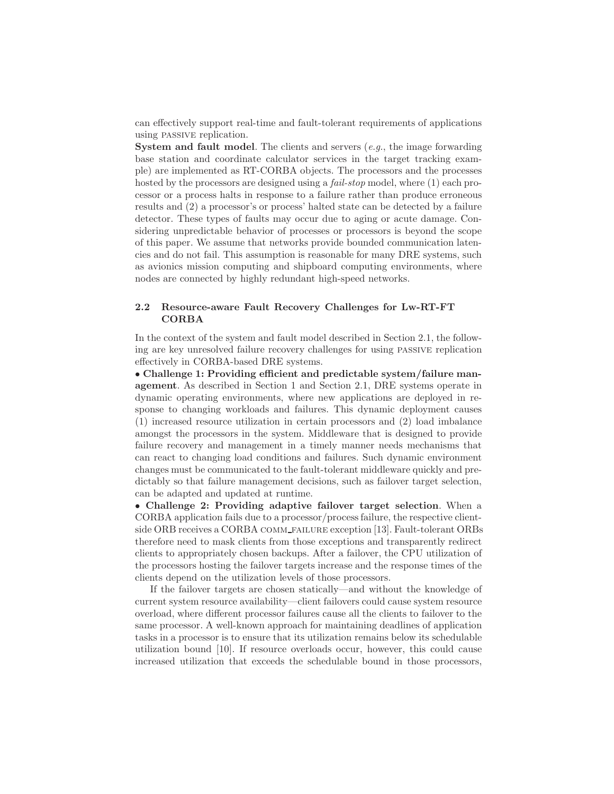can effectively support real-time and fault-tolerant requirements of applications using passive replication.

**System and fault model.** The clients and servers  $(e.g., the image forwarding)$ base station and coordinate calculator services in the target tracking example) are implemented as RT-CORBA objects. The processors and the processes hosted by the processors are designed using a *fail-stop* model, where (1) each processor or a process halts in response to a failure rather than produce erroneous results and (2) a processor's or process' halted state can be detected by a failure detector. These types of faults may occur due to aging or acute damage. Considering unpredictable behavior of processes or processors is beyond the scope of this paper. We assume that networks provide bounded communication latencies and do not fail. This assumption is reasonable for many DRE systems, such as avionics mission computing and shipboard computing environments, where nodes are connected by highly redundant high-speed networks.

### 2.2 Resource-aware Fault Recovery Challenges for Lw-RT-FT CORBA

In the context of the system and fault model described in Section 2.1, the following are key unresolved failure recovery challenges for using passive replication effectively in CORBA-based DRE systems.

• Challenge 1: Providing efficient and predictable system/failure management. As described in Section 1 and Section 2.1, DRE systems operate in dynamic operating environments, where new applications are deployed in response to changing workloads and failures. This dynamic deployment causes (1) increased resource utilization in certain processors and (2) load imbalance amongst the processors in the system. Middleware that is designed to provide failure recovery and management in a timely manner needs mechanisms that can react to changing load conditions and failures. Such dynamic environment changes must be communicated to the fault-tolerant middleware quickly and predictably so that failure management decisions, such as failover target selection, can be adapted and updated at runtime.

• Challenge 2: Providing adaptive failover target selection. When a CORBA application fails due to a processor/process failure, the respective clientside ORB receives a CORBA COMM\_FAILURE exception [13]. Fault-tolerant ORBs therefore need to mask clients from those exceptions and transparently redirect clients to appropriately chosen backups. After a failover, the CPU utilization of the processors hosting the failover targets increase and the response times of the clients depend on the utilization levels of those processors.

If the failover targets are chosen statically—and without the knowledge of current system resource availability—client failovers could cause system resource overload, where different processor failures cause all the clients to failover to the same processor. A well-known approach for maintaining deadlines of application tasks in a processor is to ensure that its utilization remains below its schedulable utilization bound [10]. If resource overloads occur, however, this could cause increased utilization that exceeds the schedulable bound in those processors,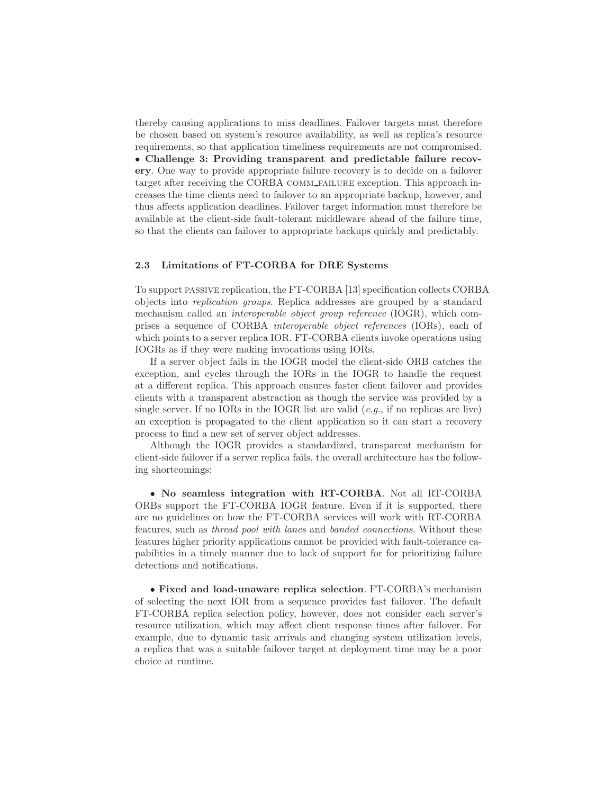thereby causing applications to miss deadlines. Failover targets must therefore be chosen based on system's resource availability, as well as replica's resource requirements, so that application timeliness requirements are not compromised. • Challenge 3: Providing transparent and predictable failure recovery. One way to provide appropriate failure recovery is to decide on a failover target after receiving the CORBA COMM\_FAILURE exception. This approach increases the time clients need to failover to an appropriate backup, however, and thus affects application deadlines. Failover target information must therefore be available at the client-side fault-tolerant middleware ahead of the failure time, so that the clients can failover to appropriate backups quickly and predictably.

#### 2.3 Limitations of FT-CORBA for DRE Systems

To support passive replication, the FT-CORBA [13] specification collects CORBA objects into replication groups. Replica addresses are grouped by a standard mechanism called an interoperable object group reference (IOGR), which comprises a sequence of CORBA interoperable object references (IORs), each of which points to a server replica IOR. FT-CORBA clients invoke operations using IOGRs as if they were making invocations using IORs.

If a server object fails in the IOGR model the client-side ORB catches the exception, and cycles through the IORs in the IOGR to handle the request at a different replica. This approach ensures faster client failover and provides clients with a transparent abstraction as though the service was provided by a single server. If no IORs in the IOGR list are valid  $(e.q.,$  if no replicas are live) an exception is propagated to the client application so it can start a recovery process to find a new set of server object addresses.

Although the IOGR provides a standardized, transparent mechanism for client-side failover if a server replica fails, the overall architecture has the following shortcomings:

• No seamless integration with RT-CORBA. Not all RT-CORBA ORBs support the FT-CORBA IOGR feature. Even if it is supported, there are no guidelines on how the FT-CORBA services will work with RT-CORBA features, such as thread pool with lanes and banded connections. Without these features higher priority applications cannot be provided with fault-tolerance capabilities in a timely manner due to lack of support for for prioritizing failure detections and notifications.

• Fixed and load-unaware replica selection. FT-CORBA's mechanism of selecting the next IOR from a sequence provides fast failover. The default FT-CORBA replica selection policy, however, does not consider each server's resource utilization, which may affect client response times after failover. For example, due to dynamic task arrivals and changing system utilization levels, a replica that was a suitable failover target at deployment time may be a poor choice at runtime.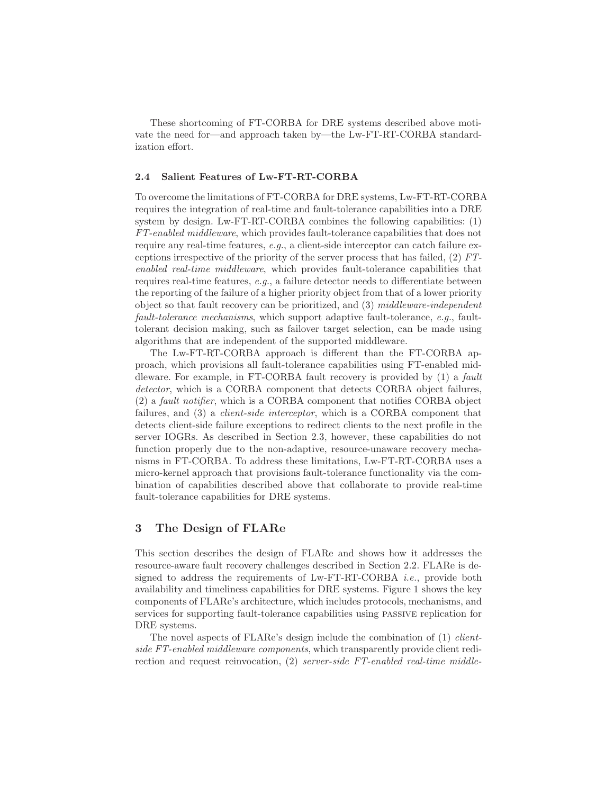These shortcoming of FT-CORBA for DRE systems described above motivate the need for—and approach taken by—the Lw-FT-RT-CORBA standardization effort.

#### 2.4 Salient Features of Lw-FT-RT-CORBA

To overcome the limitations of FT-CORBA for DRE systems, Lw-FT-RT-CORBA requires the integration of real-time and fault-tolerance capabilities into a DRE system by design. Lw-FT-RT-CORBA combines the following capabilities: (1) FT-enabled middleware, which provides fault-tolerance capabilities that does not require any real-time features,  $e.g.,$  a client-side interceptor can catch failure exceptions irrespective of the priority of the server process that has failed,  $(2) FT$ enabled real-time middleware, which provides fault-tolerance capabilities that requires real-time features, e.g., a failure detector needs to differentiate between the reporting of the failure of a higher priority object from that of a lower priority object so that fault recovery can be prioritized, and (3) middleware-independent fault-tolerance mechanisms, which support adaptive fault-tolerance, e.g., faulttolerant decision making, such as failover target selection, can be made using algorithms that are independent of the supported middleware.

The Lw-FT-RT-CORBA approach is different than the FT-CORBA approach, which provisions all fault-tolerance capabilities using FT-enabled middleware. For example, in FT-CORBA fault recovery is provided by (1) a fault detector, which is a CORBA component that detects CORBA object failures, (2) a fault notifier, which is a CORBA component that notifies CORBA object failures, and (3) a *client-side interceptor*, which is a CORBA component that detects client-side failure exceptions to redirect clients to the next profile in the server IOGRs. As described in Section 2.3, however, these capabilities do not function properly due to the non-adaptive, resource-unaware recovery mechanisms in FT-CORBA. To address these limitations, Lw-FT-RT-CORBA uses a micro-kernel approach that provisions fault-tolerance functionality via the combination of capabilities described above that collaborate to provide real-time fault-tolerance capabilities for DRE systems.

### 3 The Design of FLARe

This section describes the design of FLARe and shows how it addresses the resource-aware fault recovery challenges described in Section 2.2. FLARe is designed to address the requirements of  $Lw-FT-RT-CORBA$  *i.e.*, provide both availability and timeliness capabilities for DRE systems. Figure 1 shows the key components of FLARe's architecture, which includes protocols, mechanisms, and services for supporting fault-tolerance capabilities using passive replication for DRE systems.

The novel aspects of FLARe's design include the combination of (1) *client*side FT-enabled middleware components, which transparently provide client redirection and request reinvocation, (2) server-side FT-enabled real-time middle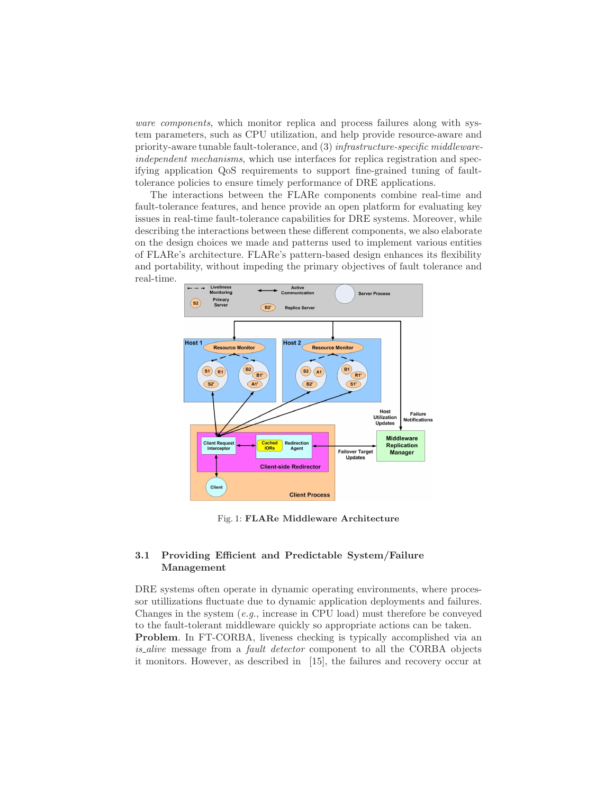ware components, which monitor replica and process failures along with system parameters, such as CPU utilization, and help provide resource-aware and priority-aware tunable fault-tolerance, and (3) infrastructure-specific middlewareindependent mechanisms, which use interfaces for replica registration and specifying application QoS requirements to support fine-grained tuning of faulttolerance policies to ensure timely performance of DRE applications.

The interactions between the FLARe components combine real-time and fault-tolerance features, and hence provide an open platform for evaluating key issues in real-time fault-tolerance capabilities for DRE systems. Moreover, while describing the interactions between these different components, we also elaborate on the design choices we made and patterns used to implement various entities of FLARe's architecture. FLARe's pattern-based design enhances its flexibility and portability, without impeding the primary objectives of fault tolerance and real-time.



Fig. 1: FLARe Middleware Architecture

### 3.1 Providing Efficient and Predictable System/Failure Management

DRE systems often operate in dynamic operating environments, where processor utillizations fluctuate due to dynamic application deployments and failures. Changes in the system  $(e,q)$ , increase in CPU load) must therefore be conveyed to the fault-tolerant middleware quickly so appropriate actions can be taken. Problem. In FT-CORBA, liveness checking is typically accomplished via an

is alive message from a fault detector component to all the CORBA objects it monitors. However, as described in [15], the failures and recovery occur at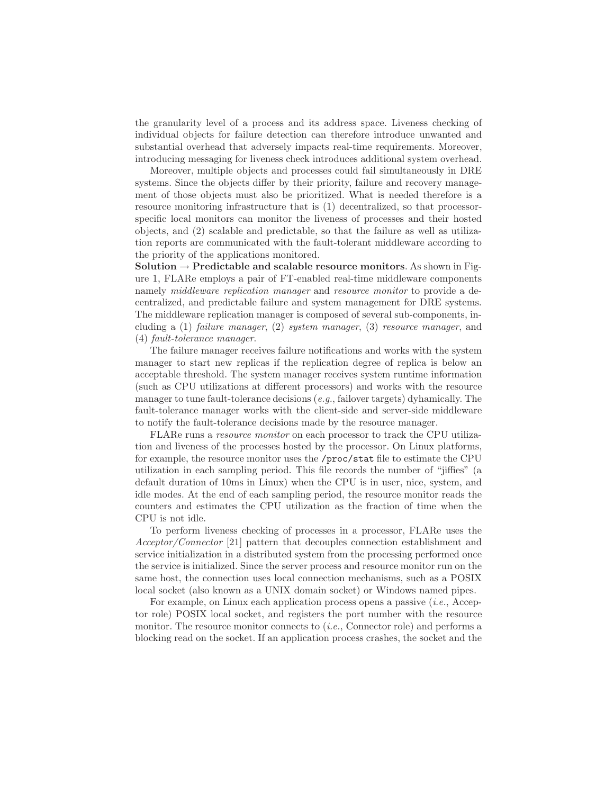the granularity level of a process and its address space. Liveness checking of individual objects for failure detection can therefore introduce unwanted and substantial overhead that adversely impacts real-time requirements. Moreover, introducing messaging for liveness check introduces additional system overhead.

Moreover, multiple objects and processes could fail simultaneously in DRE systems. Since the objects differ by their priority, failure and recovery management of those objects must also be prioritized. What is needed therefore is a resource monitoring infrastructure that is (1) decentralized, so that processorspecific local monitors can monitor the liveness of processes and their hosted objects, and (2) scalable and predictable, so that the failure as well as utilization reports are communicated with the fault-tolerant middleware according to the priority of the applications monitored.

Solution  $\rightarrow$  Predictable and scalable resource monitors. As shown in Figure 1, FLARe employs a pair of FT-enabled real-time middleware components namely *middleware replication manager* and *resource monitor* to provide a decentralized, and predictable failure and system management for DRE systems. The middleware replication manager is composed of several sub-components, including a (1) failure manager, (2) system manager, (3) resource manager, and (4) fault-tolerance manager.

The failure manager receives failure notifications and works with the system manager to start new replicas if the replication degree of replica is below an acceptable threshold. The system manager receives system runtime information (such as CPU utilizations at different processors) and works with the resource manager to tune fault-tolerance decisions  $(e.g.,$  failover targets) dyhamically. The fault-tolerance manager works with the client-side and server-side middleware to notify the fault-tolerance decisions made by the resource manager.

FLARe runs a resource monitor on each processor to track the CPU utilization and liveness of the processes hosted by the processor. On Linux platforms, for example, the resource monitor uses the /proc/stat file to estimate the CPU utilization in each sampling period. This file records the number of "jiffies" (a default duration of 10ms in Linux) when the CPU is in user, nice, system, and idle modes. At the end of each sampling period, the resource monitor reads the counters and estimates the CPU utilization as the fraction of time when the CPU is not idle.

To perform liveness checking of processes in a processor, FLARe uses the Acceptor/Connector [21] pattern that decouples connection establishment and service initialization in a distributed system from the processing performed once the service is initialized. Since the server process and resource monitor run on the same host, the connection uses local connection mechanisms, such as a POSIX local socket (also known as a UNIX domain socket) or Windows named pipes.

For example, on Linux each application process opens a passive  $(i.e.,$  Acceptor role) POSIX local socket, and registers the port number with the resource monitor. The resource monitor connects to (i.e., Connector role) and performs a blocking read on the socket. If an application process crashes, the socket and the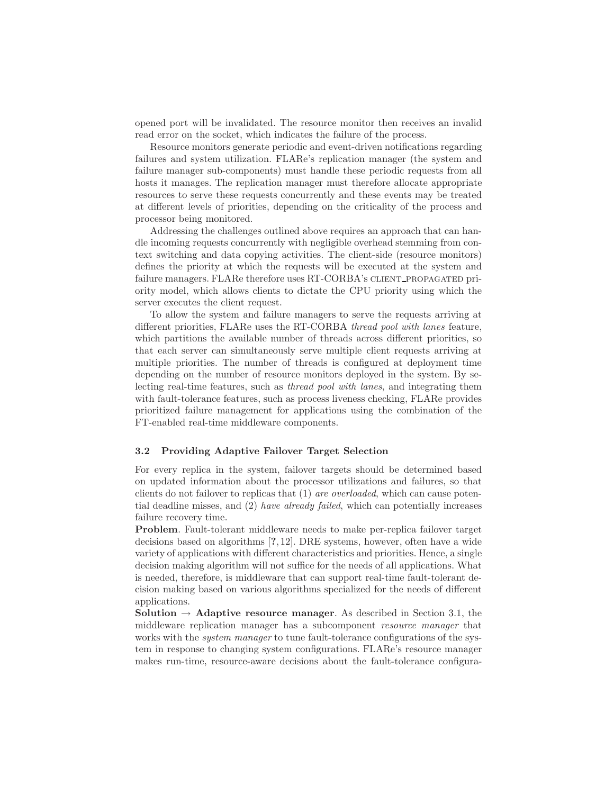opened port will be invalidated. The resource monitor then receives an invalid read error on the socket, which indicates the failure of the process.

Resource monitors generate periodic and event-driven notifications regarding failures and system utilization. FLARe's replication manager (the system and failure manager sub-components) must handle these periodic requests from all hosts it manages. The replication manager must therefore allocate appropriate resources to serve these requests concurrently and these events may be treated at different levels of priorities, depending on the criticality of the process and processor being monitored.

Addressing the challenges outlined above requires an approach that can handle incoming requests concurrently with negligible overhead stemming from context switching and data copying activities. The client-side (resource monitors) defines the priority at which the requests will be executed at the system and failure managers. FLARe therefore uses RT-CORBA's CLIENT\_PROPAGATED priority model, which allows clients to dictate the CPU priority using which the server executes the client request.

To allow the system and failure managers to serve the requests arriving at different priorities, FLARe uses the RT-CORBA thread pool with lanes feature, which partitions the available number of threads across different priorities, so that each server can simultaneously serve multiple client requests arriving at multiple priorities. The number of threads is configured at deployment time depending on the number of resource monitors deployed in the system. By selecting real-time features, such as thread pool with lanes, and integrating them with fault-tolerance features, such as process liveness checking, FLARe provides prioritized failure management for applications using the combination of the FT-enabled real-time middleware components.

#### 3.2 Providing Adaptive Failover Target Selection

For every replica in the system, failover targets should be determined based on updated information about the processor utilizations and failures, so that clients do not failover to replicas that (1) are overloaded, which can cause potential deadline misses, and (2) have already failed, which can potentially increases failure recovery time.

Problem. Fault-tolerant middleware needs to make per-replica failover target decisions based on algorithms [?, 12]. DRE systems, however, often have a wide variety of applications with different characteristics and priorities. Hence, a single decision making algorithm will not suffice for the needs of all applications. What is needed, therefore, is middleware that can support real-time fault-tolerant decision making based on various algorithms specialized for the needs of different applications.

**Solution**  $\rightarrow$  **Adaptive resource manager**. As described in Section 3.1, the middleware replication manager has a subcomponent resource manager that works with the *system manager* to tune fault-tolerance configurations of the system in response to changing system configurations. FLARe's resource manager makes run-time, resource-aware decisions about the fault-tolerance configura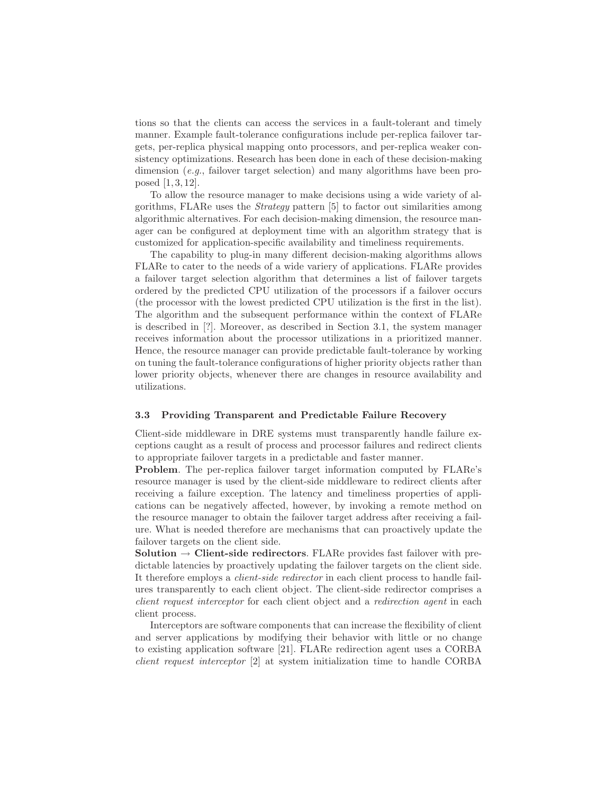tions so that the clients can access the services in a fault-tolerant and timely manner. Example fault-tolerance configurations include per-replica failover targets, per-replica physical mapping onto processors, and per-replica weaker consistency optimizations. Research has been done in each of these decision-making dimension (*e.g.*, failover target selection) and many algorithms have been proposed [1, 3, 12].

To allow the resource manager to make decisions using a wide variety of algorithms, FLARe uses the Strategy pattern [5] to factor out similarities among algorithmic alternatives. For each decision-making dimension, the resource manager can be configured at deployment time with an algorithm strategy that is customized for application-specific availability and timeliness requirements.

The capability to plug-in many different decision-making algorithms allows FLARe to cater to the needs of a wide variery of applications. FLARe provides a failover target selection algorithm that determines a list of failover targets ordered by the predicted CPU utilization of the processors if a failover occurs (the processor with the lowest predicted CPU utilization is the first in the list). The algorithm and the subsequent performance within the context of FLARe is described in [?]. Moreover, as described in Section 3.1, the system manager receives information about the processor utilizations in a prioritized manner. Hence, the resource manager can provide predictable fault-tolerance by working on tuning the fault-tolerance configurations of higher priority objects rather than lower priority objects, whenever there are changes in resource availability and utilizations.

#### 3.3 Providing Transparent and Predictable Failure Recovery

Client-side middleware in DRE systems must transparently handle failure exceptions caught as a result of process and processor failures and redirect clients to appropriate failover targets in a predictable and faster manner.

Problem. The per-replica failover target information computed by FLARe's resource manager is used by the client-side middleware to redirect clients after receiving a failure exception. The latency and timeliness properties of applications can be negatively affected, however, by invoking a remote method on the resource manager to obtain the failover target address after receiving a failure. What is needed therefore are mechanisms that can proactively update the failover targets on the client side.

Solution  $\rightarrow$  Client-side redirectors. FLARe provides fast failover with predictable latencies by proactively updating the failover targets on the client side. It therefore employs a client-side redirector in each client process to handle failures transparently to each client object. The client-side redirector comprises a client request interceptor for each client object and a redirection agent in each client process.

Interceptors are software components that can increase the flexibility of client and server applications by modifying their behavior with little or no change to existing application software [21]. FLARe redirection agent uses a CORBA client request interceptor [2] at system initialization time to handle CORBA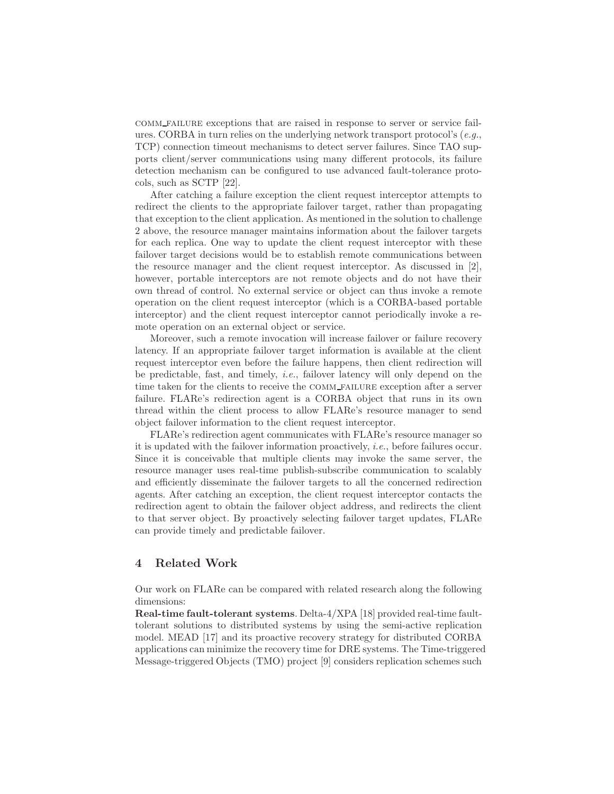comm failure exceptions that are raised in response to server or service failures. CORBA in turn relies on the underlying network transport protocol's (e.g., TCP) connection timeout mechanisms to detect server failures. Since TAO supports client/server communications using many different protocols, its failure detection mechanism can be configured to use advanced fault-tolerance protocols, such as SCTP [22].

After catching a failure exception the client request interceptor attempts to redirect the clients to the appropriate failover target, rather than propagating that exception to the client application. As mentioned in the solution to challenge 2 above, the resource manager maintains information about the failover targets for each replica. One way to update the client request interceptor with these failover target decisions would be to establish remote communications between the resource manager and the client request interceptor. As discussed in  $[2]$ , however, portable interceptors are not remote objects and do not have their own thread of control. No external service or object can thus invoke a remote operation on the client request interceptor (which is a CORBA-based portable interceptor) and the client request interceptor cannot periodically invoke a remote operation on an external object or service.

Moreover, such a remote invocation will increase failover or failure recovery latency. If an appropriate failover target information is available at the client request interceptor even before the failure happens, then client redirection will be predictable, fast, and timely, i.e., failover latency will only depend on the time taken for the clients to receive the COMM\_FAILURE exception after a server failure. FLARe's redirection agent is a CORBA object that runs in its own thread within the client process to allow FLARe's resource manager to send object failover information to the client request interceptor.

FLARe's redirection agent communicates with FLARe's resource manager so it is updated with the failover information proactively, i.e., before failures occur. Since it is conceivable that multiple clients may invoke the same server, the resource manager uses real-time publish-subscribe communication to scalably and efficiently disseminate the failover targets to all the concerned redirection agents. After catching an exception, the client request interceptor contacts the redirection agent to obtain the failover object address, and redirects the client to that server object. By proactively selecting failover target updates, FLARe can provide timely and predictable failover.

### 4 Related Work

Our work on FLARe can be compared with related research along the following dimensions:

Real-time fault-tolerant systems. Delta-4/XPA [18] provided real-time faulttolerant solutions to distributed systems by using the semi-active replication model. MEAD [17] and its proactive recovery strategy for distributed CORBA applications can minimize the recovery time for DRE systems. The Time-triggered Message-triggered Objects (TMO) project [9] considers replication schemes such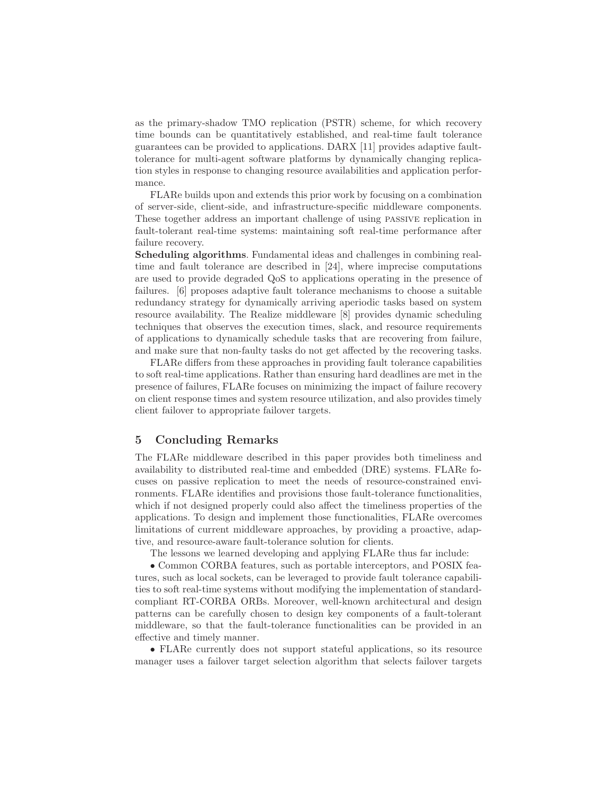as the primary-shadow TMO replication (PSTR) scheme, for which recovery time bounds can be quantitatively established, and real-time fault tolerance guarantees can be provided to applications. DARX [11] provides adaptive faulttolerance for multi-agent software platforms by dynamically changing replication styles in response to changing resource availabilities and application performance.

FLARe builds upon and extends this prior work by focusing on a combination of server-side, client-side, and infrastructure-specific middleware components. These together address an important challenge of using passive replication in fault-tolerant real-time systems: maintaining soft real-time performance after failure recovery.

Scheduling algorithms. Fundamental ideas and challenges in combining realtime and fault tolerance are described in [24], where imprecise computations are used to provide degraded QoS to applications operating in the presence of failures. [6] proposes adaptive fault tolerance mechanisms to choose a suitable redundancy strategy for dynamically arriving aperiodic tasks based on system resource availability. The Realize middleware [8] provides dynamic scheduling techniques that observes the execution times, slack, and resource requirements of applications to dynamically schedule tasks that are recovering from failure, and make sure that non-faulty tasks do not get affected by the recovering tasks.

FLARe differs from these approaches in providing fault tolerance capabilities to soft real-time applications. Rather than ensuring hard deadlines are met in the presence of failures, FLARe focuses on minimizing the impact of failure recovery on client response times and system resource utilization, and also provides timely client failover to appropriate failover targets.

### 5 Concluding Remarks

The FLARe middleware described in this paper provides both timeliness and availability to distributed real-time and embedded (DRE) systems. FLARe focuses on passive replication to meet the needs of resource-constrained environments. FLARe identifies and provisions those fault-tolerance functionalities, which if not designed properly could also affect the timeliness properties of the applications. To design and implement those functionalities, FLARe overcomes limitations of current middleware approaches, by providing a proactive, adaptive, and resource-aware fault-tolerance solution for clients.

The lessons we learned developing and applying FLARe thus far include:

• Common CORBA features, such as portable interceptors, and POSIX features, such as local sockets, can be leveraged to provide fault tolerance capabilities to soft real-time systems without modifying the implementation of standardcompliant RT-CORBA ORBs. Moreover, well-known architectural and design patterns can be carefully chosen to design key components of a fault-tolerant middleware, so that the fault-tolerance functionalities can be provided in an effective and timely manner.

• FLARe currently does not support stateful applications, so its resource manager uses a failover target selection algorithm that selects failover targets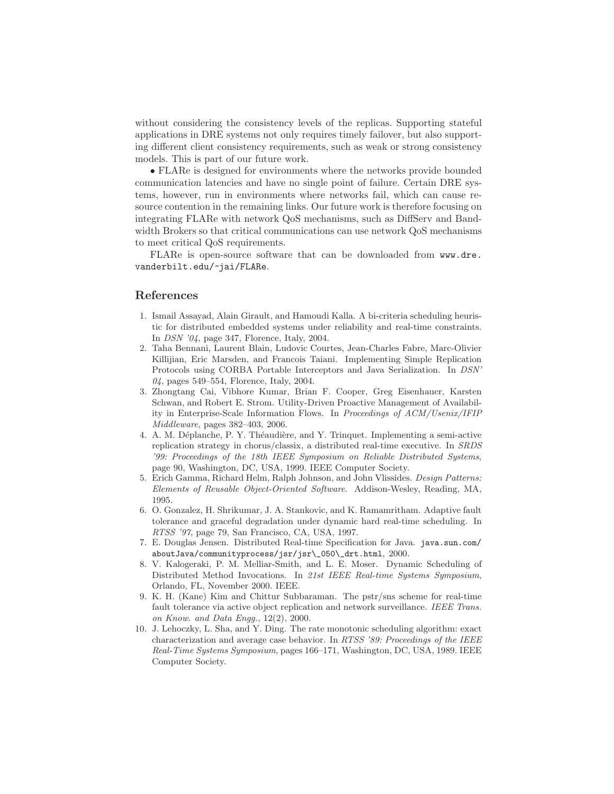without considering the consistency levels of the replicas. Supporting stateful applications in DRE systems not only requires timely failover, but also supporting different client consistency requirements, such as weak or strong consistency models. This is part of our future work.

• FLARe is designed for environments where the networks provide bounded communication latencies and have no single point of failure. Certain DRE systems, however, run in environments where networks fail, which can cause resource contention in the remaining links. Our future work is therefore focusing on integrating FLARe with network QoS mechanisms, such as DiffServ and Bandwidth Brokers so that critical communications can use network QoS mechanisms to meet critical QoS requirements.

FLARe is open-source software that can be downloaded from www.dre. vanderbilt.edu/~jai/FLARe.

### References

- 1. Ismail Assayad, Alain Girault, and Hamoudi Kalla. A bi-criteria scheduling heuristic for distributed embedded systems under reliability and real-time constraints. In *DSN '04*, page 347, Florence, Italy, 2004.
- 2. Taha Bennani, Laurent Blain, Ludovic Courtes, Jean-Charles Fabre, Marc-Olivier Killijian, Eric Marsden, and Francois Taiani. Implementing Simple Replication Protocols using CORBA Portable Interceptors and Java Serialization. In *DSN' 04*, pages 549–554, Florence, Italy, 2004.
- 3. Zhongtang Cai, Vibhore Kumar, Brian F. Cooper, Greg Eisenhauer, Karsten Schwan, and Robert E. Strom. Utility-Driven Proactive Management of Availability in Enterprise-Scale Information Flows. In *Proceedings of ACM/Usenix/IFIP Middleware*, pages 382–403, 2006.
- 4. A. M. Déplanche, P. Y. Théaudière, and Y. Trinquet. Implementing a semi-active replication strategy in chorus/classix, a distributed real-time executive. In *SRDS '99: Proceedings of the 18th IEEE Symposium on Reliable Distributed Systems*, page 90, Washington, DC, USA, 1999. IEEE Computer Society.
- 5. Erich Gamma, Richard Helm, Ralph Johnson, and John Vlissides. *Design Patterns: Elements of Reusable Object-Oriented Software*. Addison-Wesley, Reading, MA, 1995.
- 6. O. Gonzalez, H. Shrikumar, J. A. Stankovic, and K. Ramamritham. Adaptive fault tolerance and graceful degradation under dynamic hard real-time scheduling. In *RTSS '97*, page 79, San Francisco, CA, USA, 1997.
- 7. E. Douglas Jensen. Distributed Real-time Specification for Java. java.sun.com/ aboutJava/communityprocess/jsr/jsr\\_050\\_drt.html, 2000.
- 8. V. Kalogeraki, P. M. Melliar-Smith, and L. E. Moser. Dynamic Scheduling of Distributed Method Invocations. In *21st IEEE Real-time Systems Symposium*, Orlando, FL, November 2000. IEEE.
- 9. K. H. (Kane) Kim and Chittur Subbaraman. The pstr/sns scheme for real-time fault tolerance via active object replication and network surveillance. *IEEE Trans. on Know. and Data Engg.*, 12(2), 2000.
- 10. J. Lehoczky, L. Sha, and Y. Ding. The rate monotonic scheduling algorithm: exact characterization and average case behavior. In *RTSS '89: Proceedings of the IEEE Real-Time Systems Symposium*, pages 166–171, Washington, DC, USA, 1989. IEEE Computer Society.